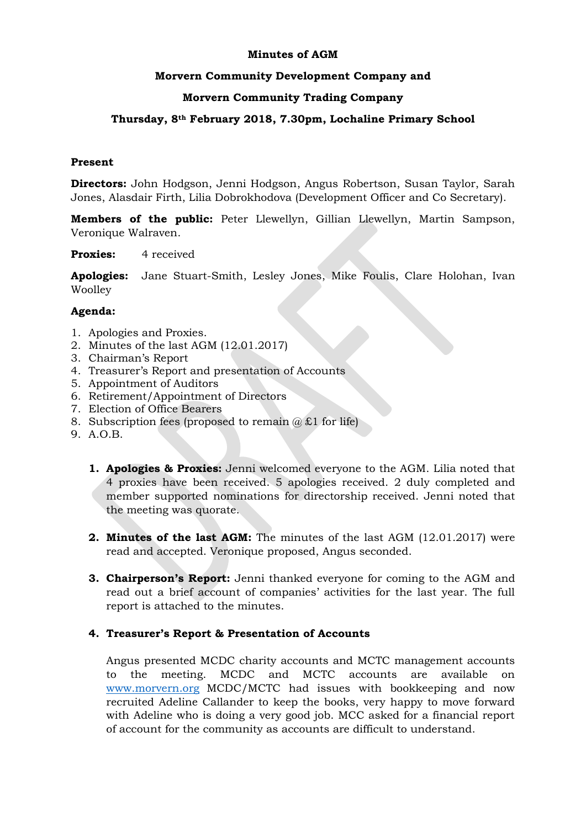## **Minutes of AGM**

## **Morvern Community Development Company and**

# **Morvern Community Trading Company**

# **Thursday, 8th February 2018, 7.30pm, Lochaline Primary School**

### **Present**

**Directors:** John Hodgson, Jenni Hodgson, Angus Robertson, Susan Taylor, Sarah Jones, Alasdair Firth, Lilia Dobrokhodova (Development Officer and Co Secretary).

**Members of the public:** Peter Llewellyn, Gillian Llewellyn, Martin Sampson, Veronique Walraven.

**Proxies:** 4 received

**Apologies:** Jane Stuart-Smith, Lesley Jones, Mike Foulis, Clare Holohan, Ivan Woolley

#### **Agenda:**

- 1. Apologies and Proxies.
- 2. Minutes of the last AGM (12.01.2017)
- 3. Chairman's Report
- 4. Treasurer's Report and presentation of Accounts
- 5. Appointment of Auditors
- 6. Retirement/Appointment of Directors
- 7. Election of Office Bearers
- 8. Subscription fees (proposed to remain  $(a) \pounds 1$  for life)
- 9. A.O.B.
	- **1. Apologies & Proxies:** Jenni welcomed everyone to the AGM. Lilia noted that 4 proxies have been received. 5 apologies received. 2 duly completed and member supported nominations for directorship received. Jenni noted that the meeting was quorate.
	- **2. Minutes of the last AGM:** The minutes of the last AGM (12.01.2017) were read and accepted. Veronique proposed, Angus seconded.
	- **3. Chairperson's Report:** Jenni thanked everyone for coming to the AGM and read out a brief account of companies' activities for the last year. The full report is attached to the minutes.

#### **4. Treasurer's Report & Presentation of Accounts**

Angus presented MCDC charity accounts and MCTC management accounts to the meeting. MCDC and MCTC accounts are available on [www.morvern.org](http://www.morvern.org/) MCDC/MCTC had issues with bookkeeping and now recruited Adeline Callander to keep the books, very happy to move forward with Adeline who is doing a very good job. MCC asked for a financial report of account for the community as accounts are difficult to understand.